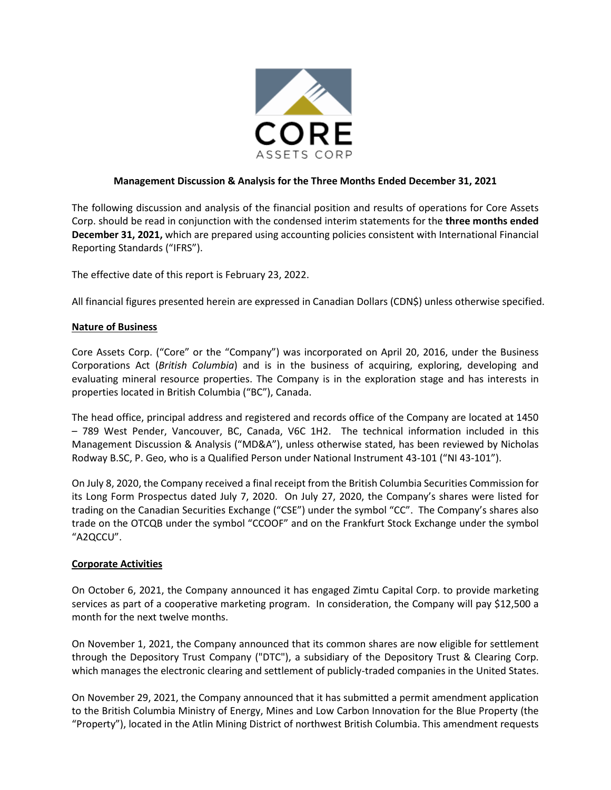

## **Management Discussion & Analysis for the Three Months Ended December 31, 2021**

The following discussion and analysis of the financial position and results of operations for Core Assets Corp. should be read in conjunction with the condensed interim statements for the **three months ended December 31, 2021,** which are prepared using accounting policies consistent with International Financial Reporting Standards ("IFRS").

The effective date of this report is February 23, 2022.

All financial figures presented herein are expressed in Canadian Dollars (CDN\$) unless otherwise specified.

#### **Nature of Business**

Core Assets Corp. ("Core" or the "Company") was incorporated on April 20, 2016, under the Business Corporations Act (*British Columbia*) and is in the business of acquiring, exploring, developing and evaluating mineral resource properties. The Company is in the exploration stage and has interests in properties located in British Columbia ("BC"), Canada.

The head office, principal address and registered and records office of the Company are located at 1450 – 789 West Pender, Vancouver, BC, Canada, V6C 1H2. The technical information included in this Management Discussion & Analysis ("MD&A"), unless otherwise stated, has been reviewed by Nicholas Rodway B.SC, P. Geo, who is a Qualified Person under National Instrument 43-101 ("NI 43-101").

On July 8, 2020, the Company received a final receipt from the British Columbia Securities Commission for its Long Form Prospectus dated July 7, 2020. On July 27, 2020, the Company's shares were listed for trading on the Canadian Securities Exchange ("CSE") under the symbol "CC". The Company's shares also trade on the OTCQB under the symbol "CCOOF" and on the Frankfurt Stock Exchange under the symbol "A2QCCU".

#### **Corporate Activities**

On October 6, 2021, the Company announced it has engaged Zimtu Capital Corp. to provide marketing services as part of a cooperative marketing program. In consideration, the Company will pay \$12,500 a month for the next twelve months.

On November 1, 2021, the Company announced that its common shares are now eligible for settlement through the Depository Trust Company ("DTC"), a subsidiary of the Depository Trust & Clearing Corp. which manages the electronic clearing and settlement of publicly-traded companies in the United States.

On November 29, 2021, the Company announced that it has submitted a permit amendment application to the British Columbia Ministry of Energy, Mines and Low Carbon Innovation for the Blue Property (the "Property"), located in the Atlin Mining District of northwest British Columbia. This amendment requests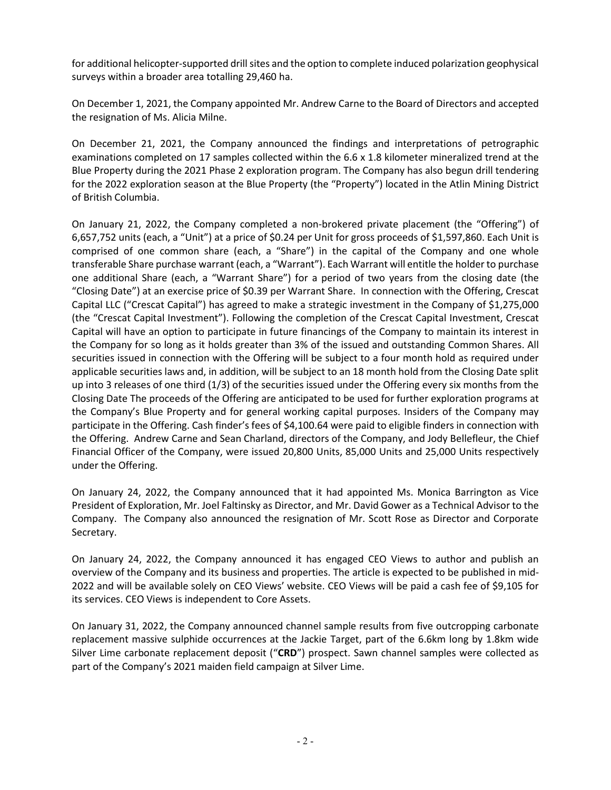for additional helicopter-supported drill sites and the option to complete induced polarization geophysical surveys within a broader area totalling 29,460 ha.

On December 1, 2021, the Company appointed Mr. Andrew Carne to the Board of Directors and accepted the resignation of Ms. Alicia Milne.

On December 21, 2021, the Company announced the findings and interpretations of petrographic examinations completed on 17 samples collected within the 6.6 x 1.8 kilometer mineralized trend at the Blue Property during the 2021 Phase 2 exploration program. The Company has also begun drill tendering for the 2022 exploration season at the Blue Property (the "Property") located in the Atlin Mining District of British Columbia.

On January 21, 2022, the Company completed a non-brokered private placement (the "Offering") of 6,657,752 units (each, a "Unit") at a price of \$0.24 per Unit for gross proceeds of \$1,597,860. Each Unit is comprised of one common share (each, a "Share") in the capital of the Company and one whole transferable Share purchase warrant (each, a "Warrant"). Each Warrant will entitle the holder to purchase one additional Share (each, a "Warrant Share") for a period of two years from the closing date (the "Closing Date") at an exercise price of \$0.39 per Warrant Share. In connection with the Offering, Crescat Capital LLC ("Crescat Capital") has agreed to make a strategic investment in the Company of \$1,275,000 (the "Crescat Capital Investment"). Following the completion of the Crescat Capital Investment, Crescat Capital will have an option to participate in future financings of the Company to maintain its interest in the Company for so long as it holds greater than 3% of the issued and outstanding Common Shares. All securities issued in connection with the Offering will be subject to a four month hold as required under applicable securities laws and, in addition, will be subject to an 18 month hold from the Closing Date split up into 3 releases of one third (1/3) of the securities issued under the Offering every six months from the Closing Date The proceeds of the Offering are anticipated to be used for further exploration programs at the Company's Blue Property and for general working capital purposes. Insiders of the Company may participate in the Offering. Cash finder's fees of \$4,100.64 were paid to eligible finders in connection with the Offering. Andrew Carne and Sean Charland, directors of the Company, and Jody Bellefleur, the Chief Financial Officer of the Company, were issued 20,800 Units, 85,000 Units and 25,000 Units respectively under the Offering.

On January 24, 2022, the Company announced that it had appointed Ms. Monica Barrington as Vice President of Exploration, Mr. Joel Faltinsky as Director, and Mr. David Gower as a Technical Advisor to the Company. The Company also announced the resignation of Mr. Scott Rose as Director and Corporate Secretary.

On January 24, 2022, the Company announced it has engaged CEO Views to author and publish an overview of the Company and its business and properties. The article is expected to be published in mid-2022 and will be available solely on CEO Views' website. CEO Views will be paid a cash fee of \$9,105 for its services. CEO Views is independent to Core Assets.

On January 31, 2022, the Company announced channel sample results from five outcropping carbonate replacement massive sulphide occurrences at the Jackie Target, part of the 6.6km long by 1.8km wide Silver Lime carbonate replacement deposit ("**CRD**") prospect. Sawn channel samples were collected as part of the Company's 2021 maiden field campaign at Silver Lime.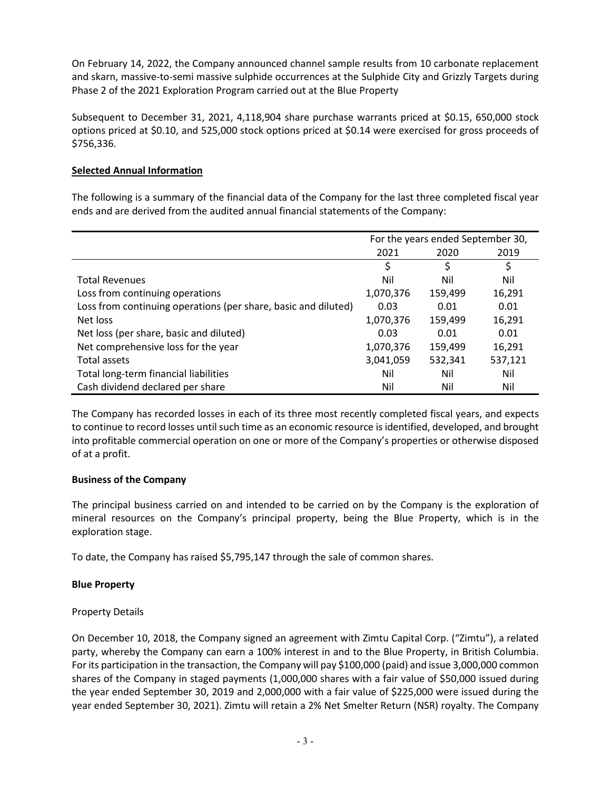On February 14, 2022, the Company announced channel sample results from 10 carbonate replacement and skarn, massive-to-semi massive sulphide occurrences at the Sulphide City and Grizzly Targets during Phase 2 of the 2021 Exploration Program carried out at the Blue Property

Subsequent to December 31, 2021, 4,118,904 share purchase warrants priced at \$0.15, 650,000 stock options priced at \$0.10, and 525,000 stock options priced at \$0.14 were exercised for gross proceeds of \$756,336.

## **Selected Annual Information**

The following is a summary of the financial data of the Company for the last three completed fiscal year ends and are derived from the audited annual financial statements of the Company:

|                                                                | For the years ended September 30, |         |         |
|----------------------------------------------------------------|-----------------------------------|---------|---------|
|                                                                | 2021                              | 2020    | 2019    |
|                                                                | \$                                | \$      | \$      |
| <b>Total Revenues</b>                                          | Nil                               | Nil     | Nil     |
| Loss from continuing operations                                | 1,070,376                         | 159,499 | 16,291  |
| Loss from continuing operations (per share, basic and diluted) | 0.03                              | 0.01    | 0.01    |
| Net loss                                                       | 1,070,376                         | 159,499 | 16,291  |
| Net loss (per share, basic and diluted)                        | 0.03                              | 0.01    | 0.01    |
| Net comprehensive loss for the year                            | 1,070,376                         | 159,499 | 16,291  |
| Total assets                                                   | 3,041,059                         | 532,341 | 537,121 |
| Total long-term financial liabilities                          | Nil                               | Nil     | Nil     |
| Cash dividend declared per share                               | Nil                               | Nil     | Nil     |

The Company has recorded losses in each of its three most recently completed fiscal years, and expects to continue to record losses until such time as an economic resource is identified, developed, and brought into profitable commercial operation on one or more of the Company's properties or otherwise disposed of at a profit.

#### **Business of the Company**

The principal business carried on and intended to be carried on by the Company is the exploration of mineral resources on the Company's principal property, being the Blue Property, which is in the exploration stage.

To date, the Company has raised \$5,795,147 through the sale of common shares.

# **Blue Property**

#### Property Details

On December 10, 2018, the Company signed an agreement with Zimtu Capital Corp. ("Zimtu"), a related party, whereby the Company can earn a 100% interest in and to the Blue Property, in British Columbia. For its participation in the transaction, the Company will pay \$100,000 (paid) and issue 3,000,000 common shares of the Company in staged payments (1,000,000 shares with a fair value of \$50,000 issued during the year ended September 30, 2019 and 2,000,000 with a fair value of \$225,000 were issued during the year ended September 30, 2021). Zimtu will retain a 2% Net Smelter Return (NSR) royalty. The Company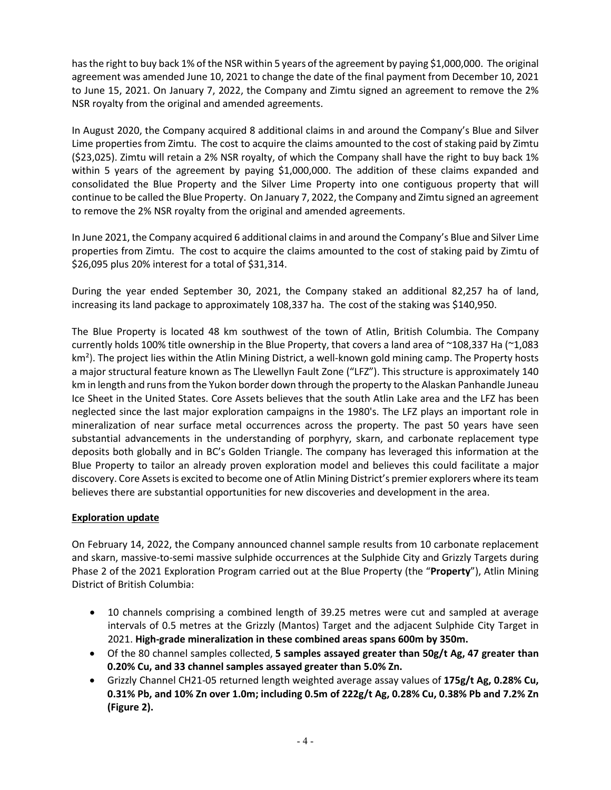has the right to buy back 1% of the NSR within 5 years of the agreement by paying \$1,000,000. The original agreement was amended June 10, 2021 to change the date of the final payment from December 10, 2021 to June 15, 2021. On January 7, 2022, the Company and Zimtu signed an agreement to remove the 2% NSR royalty from the original and amended agreements.

In August 2020, the Company acquired 8 additional claims in and around the Company's Blue and Silver Lime properties from Zimtu. The cost to acquire the claims amounted to the cost of staking paid by Zimtu (\$23,025). Zimtu will retain a 2% NSR royalty, of which the Company shall have the right to buy back 1% within 5 years of the agreement by paying \$1,000,000. The addition of these claims expanded and consolidated the Blue Property and the Silver Lime Property into one contiguous property that will continue to be called the Blue Property. On January 7, 2022, the Company and Zimtu signed an agreement to remove the 2% NSR royalty from the original and amended agreements.

In June 2021, the Company acquired 6 additional claims in and around the Company's Blue and Silver Lime properties from Zimtu. The cost to acquire the claims amounted to the cost of staking paid by Zimtu of \$26,095 plus 20% interest for a total of \$31,314.

During the year ended September 30, 2021, the Company staked an additional 82,257 ha of land, increasing its land package to approximately 108,337 ha. The cost of the staking was \$140,950.

The Blue Property is located 48 km southwest of the town of Atlin, British Columbia. The Company currently holds 100% title ownership in the Blue Property, that covers a land area of ~108,337 Ha (~1,083 km<sup>2</sup>). The project lies within the Atlin Mining District, a well-known gold mining camp. The Property hosts a major structural feature known as The Llewellyn Fault Zone ("LFZ"). This structure is approximately 140 km in length and runs from the Yukon border down through the property to the Alaskan Panhandle Juneau Ice Sheet in the United States. Core Assets believes that the south Atlin Lake area and the LFZ has been neglected since the last major exploration campaigns in the 1980's. The LFZ plays an important role in mineralization of near surface metal occurrences across the property. The past 50 years have seen substantial advancements in the understanding of porphyry, skarn, and carbonate replacement type deposits both globally and in BC's Golden Triangle. The company has leveraged this information at the Blue Property to tailor an already proven exploration model and believes this could facilitate a major discovery. Core Assets is excited to become one of Atlin Mining District's premier explorers where its team believes there are substantial opportunities for new discoveries and development in the area.

# **Exploration update**

On February 14, 2022, the Company announced channel sample results from 10 carbonate replacement and skarn, massive-to-semi massive sulphide occurrences at the Sulphide City and Grizzly Targets during Phase 2 of the 2021 Exploration Program carried out at the Blue Property (the "**Property**"), Atlin Mining District of British Columbia:

- 10 channels comprising a combined length of 39.25 metres were cut and sampled at average intervals of 0.5 metres at the Grizzly (Mantos) Target and the adjacent Sulphide City Target in 2021. **High-grade mineralization in these combined areas spans 600m by 350m.**
- Of the 80 channel samples collected, **5 samples assayed greater than 50g/t Ag, 47 greater than 0.20% Cu, and 33 channel samples assayed greater than 5.0% Zn.**
- Grizzly Channel CH21-05 returned length weighted average assay values of **175g/t Ag, 0.28% Cu, 0.31% Pb, and 10% Zn over 1.0m; including 0.5m of 222g/t Ag, 0.28% Cu, 0.38% Pb and 7.2% Zn (Figure 2).**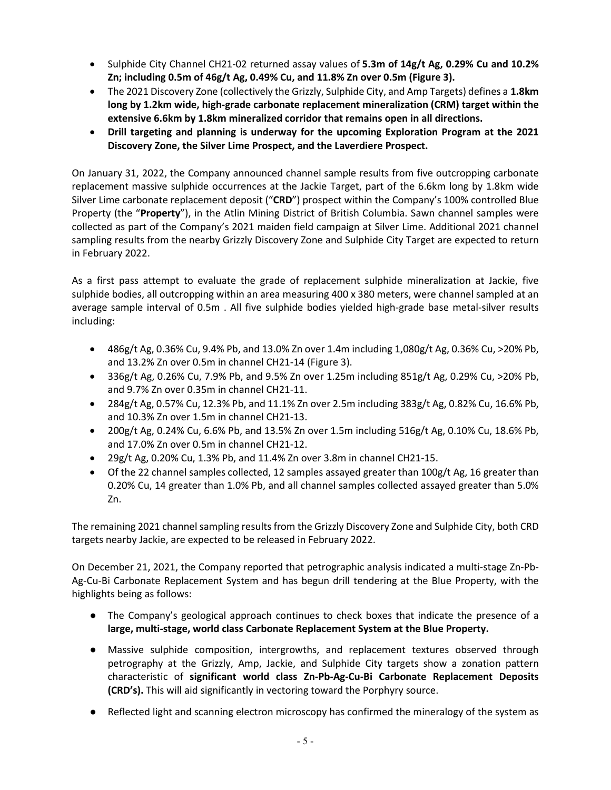- Sulphide City Channel CH21-02 returned assay values of **5.3m of 14g/t Ag, 0.29% Cu and 10.2% Zn; including 0.5m of 46g/t Ag, 0.49% Cu, and 11.8% Zn over 0.5m (Figure 3).**
- The 2021 Discovery Zone (collectively the Grizzly, Sulphide City, and Amp Targets) defines a **1.8km long by 1.2km wide, high-grade carbonate replacement mineralization (CRM) target within the extensive 6.6km by 1.8km mineralized corridor that remains open in all directions.**
- **Drill targeting and planning is underway for the upcoming Exploration Program at the 2021 Discovery Zone, the Silver Lime Prospect, and the Laverdiere Prospect.**

On January 31, 2022, the Company announced channel sample results from five outcropping carbonate replacement massive sulphide occurrences at the Jackie Target, part of the 6.6km long by 1.8km wide Silver Lime carbonate replacement deposit ("**CRD**") prospect within the Company's 100% controlled Blue Property (the "**Property**"), in the Atlin Mining District of British Columbia. Sawn channel samples were collected as part of the Company's 2021 maiden field campaign at Silver Lime. Additional 2021 channel sampling results from the nearby Grizzly Discovery Zone and Sulphide City Target are expected to return in February 2022.

As a first pass attempt to evaluate the grade of replacement sulphide mineralization at Jackie, five sulphide bodies, all outcropping within an area measuring 400 x 380 meters, were channel sampled at an average sample interval of 0.5m . All five sulphide bodies yielded high-grade base metal-silver results including:

- 486g/t Ag, 0.36% Cu, 9.4% Pb, and 13.0% Zn over 1.4m including 1,080g/t Ag, 0.36% Cu, >20% Pb, and 13.2% Zn over 0.5m in channel CH21-14 (Figure 3).
- 336g/t Ag, 0.26% Cu, 7.9% Pb, and 9.5% Zn over 1.25m including 851g/t Ag, 0.29% Cu,  $>$ 20% Pb, and 9.7% Zn over 0.35m in channel CH21-11.
- 284g/t Ag, 0.57% Cu, 12.3% Pb, and 11.1% Zn over 2.5m including 383g/t Ag, 0.82% Cu, 16.6% Pb, and 10.3% Zn over 1.5m in channel CH21-13.
- 200g/t Ag, 0.24% Cu, 6.6% Pb, and 13.5% Zn over 1.5m including  $516g/t$  Ag, 0.10% Cu, 18.6% Pb, and 17.0% Zn over 0.5m in channel CH21-12.
- 29g/t Ag, 0.20% Cu, 1.3% Pb, and 11.4% Zn over 3.8m in channel CH21-15.
- Of the 22 channel samples collected, 12 samples assayed greater than 100g/t Ag, 16 greater than 0.20% Cu, 14 greater than 1.0% Pb, and all channel samples collected assayed greater than 5.0% Zn.

The remaining 2021 channel sampling results from the Grizzly Discovery Zone and Sulphide City, both CRD targets nearby Jackie, are expected to be released in February 2022.

On December 21, 2021, the Company reported that petrographic analysis indicated a multi-stage Zn-Pb-Ag-Cu-Bi Carbonate Replacement System and has begun drill tendering at the Blue Property, with the highlights being as follows:

- The Company's geological approach continues to check boxes that indicate the presence of a **large, multi-stage, world class Carbonate Replacement System at the Blue Property.**
- Massive sulphide composition, intergrowths, and replacement textures observed through petrography at the Grizzly, Amp, Jackie, and Sulphide City targets show a zonation pattern characteristic of **significant world class Zn-Pb-Ag-Cu-Bi Carbonate Replacement Deposits (CRD's).** This will aid significantly in vectoring toward the Porphyry source.
- Reflected light and scanning electron microscopy has confirmed the mineralogy of the system as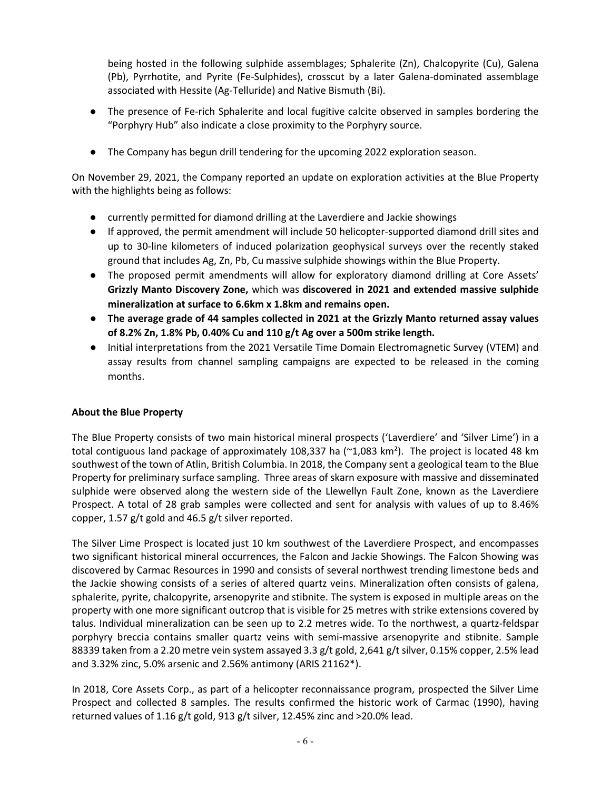being hosted in the following sulphide assemblages; Sphalerite (Zn), Chalcopyrite (Cu), Galena (Pb), Pyrrhotite, and Pyrite (Fe-Sulphides), crosscut by a later Galena-dominated assemblage associated with Hessite (Ag-Telluride) and Native Bismuth (Bi).

- The presence of Fe-rich Sphalerite and local fugitive calcite observed in samples bordering the "Porphyry Hub" also indicate a close proximity to the Porphyry source.
- The Company has begun drill tendering for the upcoming 2022 exploration season.

On November 29, 2021, the Company reported an update on exploration activities at the Blue Property with the highlights being as follows:

- currently permitted for diamond drilling at the Laverdiere and Jackie showings
- If approved, the permit amendment will include 50 helicopter-supported diamond drill sites and up to 30-line kilometers of induced polarization geophysical surveys over the recently staked ground that includes Ag, Zn, Pb, Cu massive sulphide showings within the Blue Property.
- The proposed permit amendments will allow for exploratory diamond drilling at Core Assets' **Grizzly Manto Discovery Zone,** which was **discovered in 2021 and extended massive sulphide mineralization at surface to 6.6km x 1.8km and remains open.**
- **The average grade of 44 samples collected in 2021 at the Grizzly Manto returned assay values of 8.2% Zn, 1.8% Pb, 0.40% Cu and 110 g/t Ag over a 500m strike length.**
- Initial interpretations from the 2021 Versatile Time Domain Electromagnetic Survey (VTEM) and assay results from channel sampling campaigns are expected to be released in the coming months.

# **About the Blue Property**

The Blue Property consists of two main historical mineral prospects ('Laverdiere' and 'Silver Lime') in a total contiguous land package of approximately 108,337 ha (~1,083 km²).The project is located 48 km southwest of the town of Atlin, British Columbia. In 2018, the Company sent a geological team to the Blue Property for preliminary surface sampling. Three areas of skarn exposure with massive and disseminated sulphide were observed along the western side of the Llewellyn Fault Zone, known as the Laverdiere Prospect. A total of 28 grab samples were collected and sent for analysis with values of up to 8.46% copper, 1.57 g/t gold and 46.5 g/t silver reported.

The Silver Lime Prospect is located just 10 km southwest of the Laverdiere Prospect, and encompasses two significant historical mineral occurrences, the Falcon and Jackie Showings. The Falcon Showing was discovered by Carmac Resources in 1990 and consists of several northwest trending limestone beds and the Jackie showing consists of a series of altered quartz veins. Mineralization often consists of galena, sphalerite, pyrite, chalcopyrite, arsenopyrite and stibnite. The system is exposed in multiple areas on the property with one more significant outcrop that is visible for 25 metres with strike extensions covered by talus. Individual mineralization can be seen up to 2.2 metres wide. To the northwest, a quartz-feldspar porphyry breccia contains smaller quartz veins with semi-massive arsenopyrite and stibnite. Sample 88339 taken from a 2.20 metre vein system assayed 3.3 g/t gold, 2,641 g/t silver, 0.15% copper, 2.5% lead and 3.32% zinc, 5.0% arsenic and 2.56% antimony (ARIS 21162\*).

In 2018, Core Assets Corp., as part of a helicopter reconnaissance program, prospected the Silver Lime Prospect and collected 8 samples. The results confirmed the historic work of Carmac (1990), having returned values of 1.16 g/t gold, 913 g/t silver, 12.45% zinc and >20.0% lead.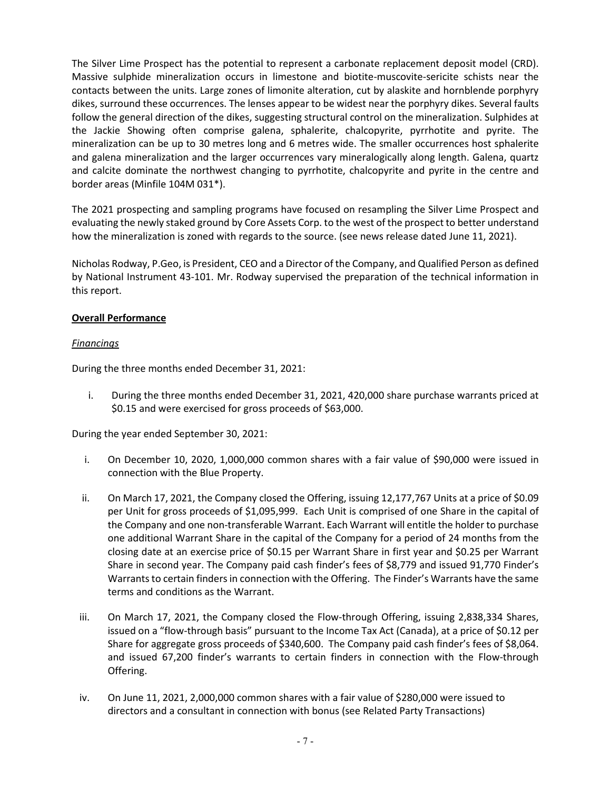The Silver Lime Prospect has the potential to represent a carbonate replacement deposit model (CRD). Massive sulphide mineralization occurs in limestone and biotite-muscovite-sericite schists near the contacts between the units. Large zones of limonite alteration, cut by alaskite and hornblende porphyry dikes, surround these occurrences. The lenses appear to be widest near the porphyry dikes. Several faults follow the general direction of the dikes, suggesting structural control on the mineralization. Sulphides at the Jackie Showing often comprise galena, sphalerite, chalcopyrite, pyrrhotite and pyrite. The mineralization can be up to 30 metres long and 6 metres wide. The smaller occurrences host sphalerite and galena mineralization and the larger occurrences vary mineralogically along length. Galena, quartz and calcite dominate the northwest changing to pyrrhotite, chalcopyrite and pyrite in the centre and border areas (Minfile 104M 031\*).

The 2021 prospecting and sampling programs have focused on resampling the Silver Lime Prospect and evaluating the newly staked ground by Core Assets Corp. to the west of the prospect to better understand how the mineralization is zoned with regards to the source. (see news release dated June 11, 2021).

Nicholas Rodway, P.Geo, is President, CEO and a Director of the Company, and Qualified Person as defined by National Instrument 43-101. Mr. Rodway supervised the preparation of the technical information in this report.

# **Overall Performance**

## *Financings*

During the three months ended December 31, 2021:

i. During the three months ended December 31, 2021, 420,000 share purchase warrants priced at \$0.15 and were exercised for gross proceeds of \$63,000.

During the year ended September 30, 2021:

- i. On December 10, 2020, 1,000,000 common shares with a fair value of \$90,000 were issued in connection with the Blue Property.
- ii. On March 17, 2021, the Company closed the Offering, issuing 12,177,767 Units at a price of \$0.09 per Unit for gross proceeds of \$1,095,999. Each Unit is comprised of one Share in the capital of the Company and one non-transferable Warrant. Each Warrant will entitle the holder to purchase one additional Warrant Share in the capital of the Company for a period of 24 months from the closing date at an exercise price of \$0.15 per Warrant Share in first year and \$0.25 per Warrant Share in second year. The Company paid cash finder's fees of \$8,779 and issued 91,770 Finder's Warrants to certain finders in connection with the Offering. The Finder's Warrants have the same terms and conditions as the Warrant.
- iii. On March 17, 2021, the Company closed the Flow-through Offering, issuing 2,838,334 Shares, issued on a "flow-through basis" pursuant to the Income Tax Act (Canada), at a price of \$0.12 per Share for aggregate gross proceeds of \$340,600. The Company paid cash finder's fees of \$8,064. and issued 67,200 finder's warrants to certain finders in connection with the Flow-through Offering.
- iv. On June 11, 2021, 2,000,000 common shares with a fair value of \$280,000 were issued to directors and a consultant in connection with bonus (see Related Party Transactions)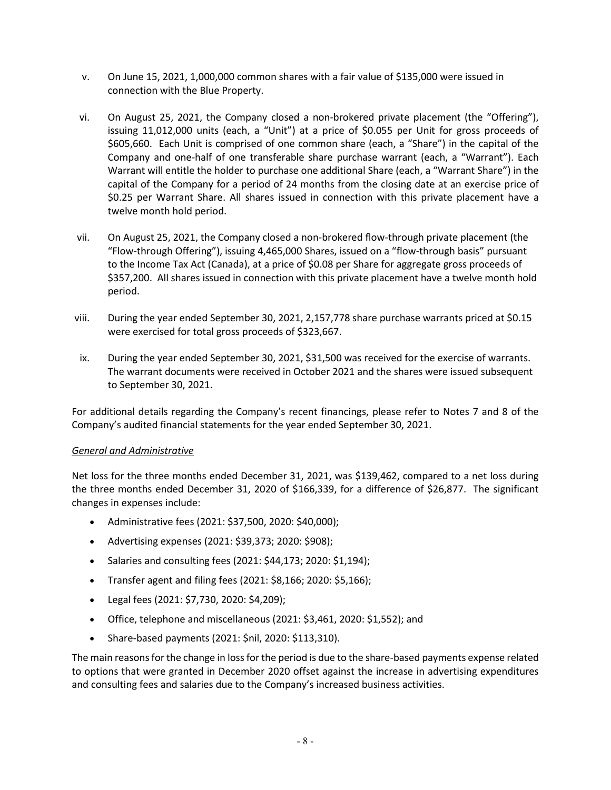- v. On June 15, 2021, 1,000,000 common shares with a fair value of \$135,000 were issued in connection with the Blue Property.
- vi. On August 25, 2021, the Company closed a non-brokered private placement (the "Offering"), issuing 11,012,000 units (each, a "Unit") at a price of \$0.055 per Unit for gross proceeds of \$605,660. Each Unit is comprised of one common share (each, a "Share") in the capital of the Company and one-half of one transferable share purchase warrant (each, a "Warrant"). Each Warrant will entitle the holder to purchase one additional Share (each, a "Warrant Share") in the capital of the Company for a period of 24 months from the closing date at an exercise price of \$0.25 per Warrant Share. All shares issued in connection with this private placement have a twelve month hold period.
- vii. On August 25, 2021, the Company closed a non-brokered flow-through private placement (the "Flow-through Offering"), issuing 4,465,000 Shares, issued on a "flow-through basis" pursuant to the Income Tax Act (Canada), at a price of \$0.08 per Share for aggregate gross proceeds of \$357,200. All shares issued in connection with this private placement have a twelve month hold period.
- viii. During the year ended September 30, 2021, 2,157,778 share purchase warrants priced at \$0.15 were exercised for total gross proceeds of \$323,667.
- ix. During the year ended September 30, 2021, \$31,500 was received for the exercise of warrants. The warrant documents were received in October 2021 and the shares were issued subsequent to September 30, 2021.

For additional details regarding the Company's recent financings, please refer to Notes 7 and 8 of the Company's audited financial statements for the year ended September 30, 2021.

#### *General and Administrative*

Net loss for the three months ended December 31, 2021, was \$139,462, compared to a net loss during the three months ended December 31, 2020 of \$166,339, for a difference of \$26,877. The significant changes in expenses include:

- Administrative fees (2021: \$37,500, 2020: \$40,000);
- Advertising expenses (2021: \$39,373; 2020: \$908);
- Salaries and consulting fees (2021: \$44,173; 2020: \$1,194);
- Transfer agent and filing fees (2021: \$8,166; 2020: \$5,166);
- Legal fees (2021: \$7,730, 2020: \$4,209);
- Office, telephone and miscellaneous (2021: \$3,461, 2020: \$1,552); and
- Share-based payments (2021: \$nil, 2020: \$113,310).

The main reasons for the change in loss for the period is due to the share-based payments expense related to options that were granted in December 2020 offset against the increase in advertising expenditures and consulting fees and salaries due to the Company's increased business activities.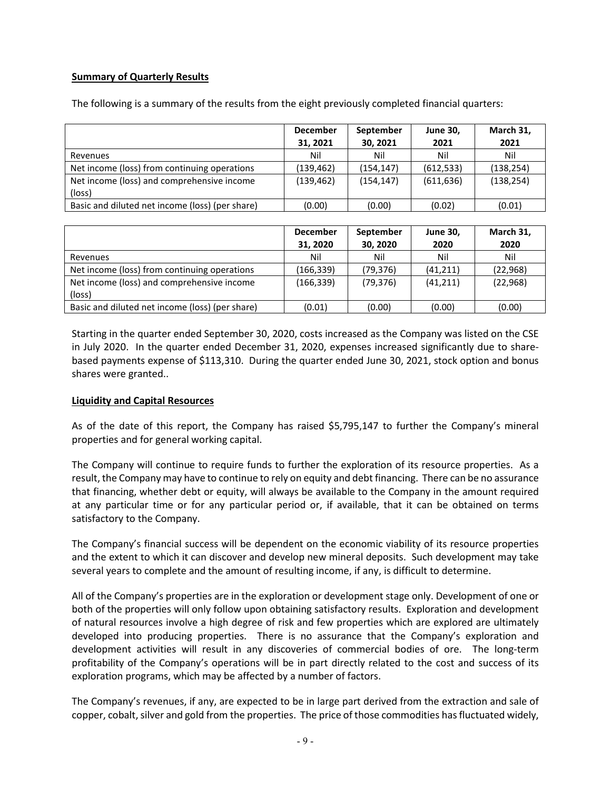## **Summary of Quarterly Results**

|                                                 | <b>December</b> | September  | <b>June 30,</b> | March 31,  |
|-------------------------------------------------|-----------------|------------|-----------------|------------|
|                                                 | 31, 2021        | 30, 2021   | 2021            | 2021       |
| Revenues                                        | Nil             | Nil        | Nil             | Nil        |
| Net income (loss) from continuing operations    | (139,462)       | (154, 147) | (612, 533)      | (138, 254) |
| Net income (loss) and comprehensive income      | (139, 462)      | (154, 147) | (611, 636)      | (138, 254) |
| (loss)                                          |                 |            |                 |            |
| Basic and diluted net income (loss) (per share) | (0.00)          | (0.00)     | (0.02)          | (0.01)     |

The following is a summary of the results from the eight previously completed financial quarters:

|                                                      | <b>December</b><br>31, 2020 | September<br>30, 2020 | <b>June 30,</b><br>2020 | March 31,<br>2020 |
|------------------------------------------------------|-----------------------------|-----------------------|-------------------------|-------------------|
| Revenues                                             | Nil                         | Nil                   | Nil                     | Nil               |
| Net income (loss) from continuing operations         | (166,339)                   | (79,376)              | (41, 211)               | (22, 968)         |
| Net income (loss) and comprehensive income<br>(loss) | (166,339)                   | (79, 376)             | (41, 211)               | (22, 968)         |
| Basic and diluted net income (loss) (per share)      | (0.01)                      | (0.00)                | (0.00)                  | (0.00)            |

Starting in the quarter ended September 30, 2020, costs increased as the Company was listed on the CSE in July 2020. In the quarter ended December 31, 2020, expenses increased significantly due to sharebased payments expense of \$113,310. During the quarter ended June 30, 2021, stock option and bonus shares were granted..

#### **Liquidity and Capital Resources**

As of the date of this report, the Company has raised \$5,795,147 to further the Company's mineral properties and for general working capital.

The Company will continue to require funds to further the exploration of its resource properties. As a result, the Company may have to continue to rely on equity and debt financing. There can be no assurance that financing, whether debt or equity, will always be available to the Company in the amount required at any particular time or for any particular period or, if available, that it can be obtained on terms satisfactory to the Company.

The Company's financial success will be dependent on the economic viability of its resource properties and the extent to which it can discover and develop new mineral deposits. Such development may take several years to complete and the amount of resulting income, if any, is difficult to determine.

All of the Company's properties are in the exploration or development stage only. Development of one or both of the properties will only follow upon obtaining satisfactory results. Exploration and development of natural resources involve a high degree of risk and few properties which are explored are ultimately developed into producing properties. There is no assurance that the Company's exploration and development activities will result in any discoveries of commercial bodies of ore. The long-term profitability of the Company's operations will be in part directly related to the cost and success of its exploration programs, which may be affected by a number of factors.

The Company's revenues, if any, are expected to be in large part derived from the extraction and sale of copper, cobalt, silver and gold from the properties. The price of those commodities has fluctuated widely,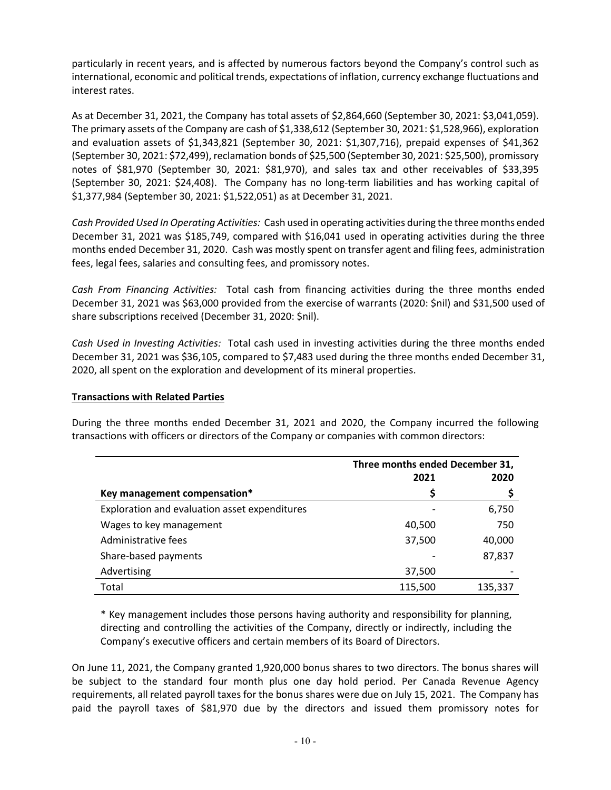particularly in recent years, and is affected by numerous factors beyond the Company's control such as international, economic and political trends, expectations of inflation, currency exchange fluctuations and interest rates.

As at December 31, 2021, the Company has total assets of \$2,864,660 (September 30, 2021: \$3,041,059). The primary assets of the Company are cash of \$1,338,612 (September 30, 2021: \$1,528,966), exploration and evaluation assets of \$1,343,821 (September 30, 2021: \$1,307,716), prepaid expenses of \$41,362 (September 30, 2021: \$72,499), reclamation bonds of \$25,500 (September 30, 2021: \$25,500), promissory notes of \$81,970 (September 30, 2021: \$81,970), and sales tax and other receivables of \$33,395 (September 30, 2021: \$24,408). The Company has no long-term liabilities and has working capital of \$1,377,984 (September 30, 2021: \$1,522,051) as at December 31, 2021.

*Cash Provided Used In Operating Activities:* Cash used in operating activities during the three months ended December 31, 2021 was \$185,749, compared with \$16,041 used in operating activities during the three months ended December 31, 2020. Cash was mostly spent on transfer agent and filing fees, administration fees, legal fees, salaries and consulting fees, and promissory notes.

*Cash From Financing Activities:* Total cash from financing activities during the three months ended December 31, 2021 was \$63,000 provided from the exercise of warrants (2020: \$nil) and \$31,500 used of share subscriptions received (December 31, 2020: \$nil).

*Cash Used in Investing Activities:* Total cash used in investing activities during the three months ended December 31, 2021 was \$36,105, compared to \$7,483 used during the three months ended December 31, 2020, all spent on the exploration and development of its mineral properties.

#### **Transactions with Related Parties**

During the three months ended December 31, 2021 and 2020, the Company incurred the following transactions with officers or directors of the Company or companies with common directors:

|                                               | Three months ended December 31, |         |
|-----------------------------------------------|---------------------------------|---------|
|                                               | 2021                            | 2020    |
| Key management compensation*                  | S                               |         |
| Exploration and evaluation asset expenditures |                                 | 6,750   |
| Wages to key management                       | 40,500                          | 750     |
| Administrative fees                           | 37,500                          | 40,000  |
| Share-based payments                          |                                 | 87,837  |
| Advertising                                   | 37,500                          |         |
| Total                                         | 115,500                         | 135,337 |

\* Key management includes those persons having authority and responsibility for planning, directing and controlling the activities of the Company, directly or indirectly, including the Company's executive officers and certain members of its Board of Directors.

On June 11, 2021, the Company granted 1,920,000 bonus shares to two directors. The bonus shares will be subject to the standard four month plus one day hold period. Per Canada Revenue Agency requirements, all related payroll taxes for the bonus shares were due on July 15, 2021. The Company has paid the payroll taxes of \$81,970 due by the directors and issued them promissory notes for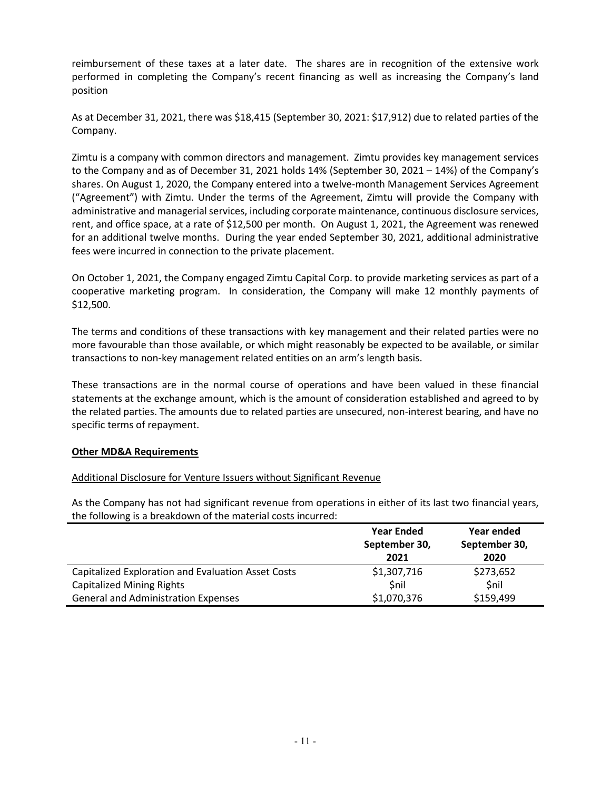reimbursement of these taxes at a later date. The shares are in recognition of the extensive work performed in completing the Company's recent financing as well as increasing the Company's land position

As at December 31, 2021, there was \$18,415 (September 30, 2021: \$17,912) due to related parties of the Company.

Zimtu is a company with common directors and management. Zimtu provides key management services to the Company and as of December 31, 2021 holds 14% (September 30, 2021 – 14%) of the Company's shares. On August 1, 2020, the Company entered into a twelve-month Management Services Agreement ("Agreement") with Zimtu. Under the terms of the Agreement, Zimtu will provide the Company with administrative and managerial services, including corporate maintenance, continuous disclosure services, rent, and office space, at a rate of \$12,500 per month. On August 1, 2021, the Agreement was renewed for an additional twelve months. During the year ended September 30, 2021, additional administrative fees were incurred in connection to the private placement.

On October 1, 2021, the Company engaged Zimtu Capital Corp. to provide marketing services as part of a cooperative marketing program. In consideration, the Company will make 12 monthly payments of \$12,500.

The terms and conditions of these transactions with key management and their related parties were no more favourable than those available, or which might reasonably be expected to be available, or similar transactions to non-key management related entities on an arm's length basis.

These transactions are in the normal course of operations and have been valued in these financial statements at the exchange amount, which is the amount of consideration established and agreed to by the related parties. The amounts due to related parties are unsecured, non-interest bearing, and have no specific terms of repayment.

#### **Other MD&A Requirements**

#### Additional Disclosure for Venture Issuers without Significant Revenue

As the Company has not had significant revenue from operations in either of its last two financial years, the following is a breakdown of the material costs incurred:

|                                                    | <b>Year Ended</b> | Year ended    |
|----------------------------------------------------|-------------------|---------------|
|                                                    | September 30,     | September 30, |
|                                                    | 2021              | 2020          |
| Capitalized Exploration and Evaluation Asset Costs | \$1,307,716       | \$273,652     |
| <b>Capitalized Mining Rights</b>                   | \$nil             | \$nil         |
| <b>General and Administration Expenses</b>         | \$1,070,376       | \$159,499     |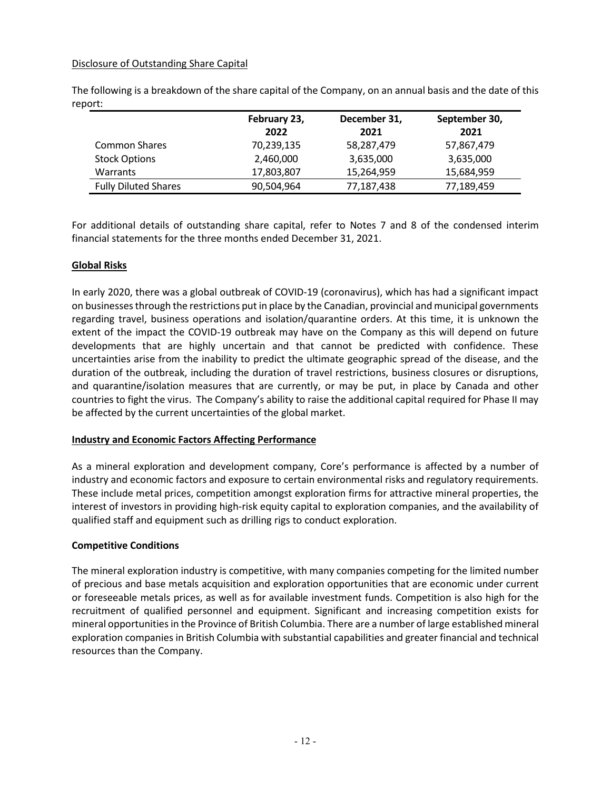#### Disclosure of Outstanding Share Capital

The following is a breakdown of the share capital of the Company, on an annual basis and the date of this report:

|                             | February 23, | December 31, | September 30, |
|-----------------------------|--------------|--------------|---------------|
|                             | 2022         | 2021         | 2021          |
| <b>Common Shares</b>        | 70,239,135   | 58,287,479   | 57,867,479    |
| <b>Stock Options</b>        | 2,460,000    | 3,635,000    | 3,635,000     |
| <b>Warrants</b>             | 17,803,807   | 15,264,959   | 15,684,959    |
| <b>Fully Diluted Shares</b> | 90,504,964   | 77,187,438   | 77,189,459    |

For additional details of outstanding share capital, refer to Notes 7 and 8 of the condensed interim financial statements for the three months ended December 31, 2021.

# **Global Risks**

In early 2020, there was a global outbreak of COVID-19 (coronavirus), which has had a significant impact on businesses through the restrictions put in place by the Canadian, provincial and municipal governments regarding travel, business operations and isolation/quarantine orders. At this time, it is unknown the extent of the impact the COVID-19 outbreak may have on the Company as this will depend on future developments that are highly uncertain and that cannot be predicted with confidence. These uncertainties arise from the inability to predict the ultimate geographic spread of the disease, and the duration of the outbreak, including the duration of travel restrictions, business closures or disruptions, and quarantine/isolation measures that are currently, or may be put, in place by Canada and other countries to fight the virus. The Company's ability to raise the additional capital required for Phase II may be affected by the current uncertainties of the global market.

#### **Industry and Economic Factors Affecting Performance**

As a mineral exploration and development company, Core's performance is affected by a number of industry and economic factors and exposure to certain environmental risks and regulatory requirements. These include metal prices, competition amongst exploration firms for attractive mineral properties, the interest of investors in providing high-risk equity capital to exploration companies, and the availability of qualified staff and equipment such as drilling rigs to conduct exploration.

#### **Competitive Conditions**

The mineral exploration industry is competitive, with many companies competing for the limited number of precious and base metals acquisition and exploration opportunities that are economic under current or foreseeable metals prices, as well as for available investment funds. Competition is also high for the recruitment of qualified personnel and equipment. Significant and increasing competition exists for mineral opportunities in the Province of British Columbia. There are a number of large established mineral exploration companies in British Columbia with substantial capabilities and greater financial and technical resources than the Company.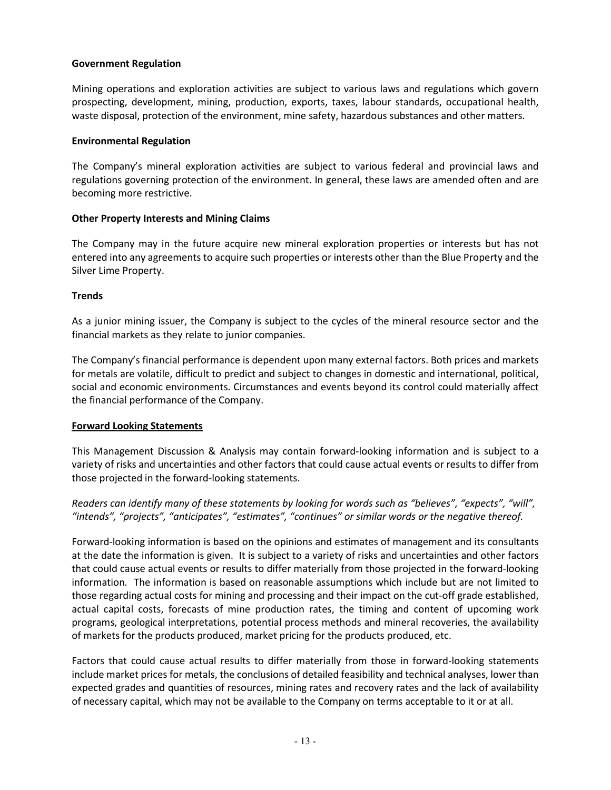#### **Government Regulation**

Mining operations and exploration activities are subject to various laws and regulations which govern prospecting, development, mining, production, exports, taxes, labour standards, occupational health, waste disposal, protection of the environment, mine safety, hazardous substances and other matters.

#### **Environmental Regulation**

The Company's mineral exploration activities are subject to various federal and provincial laws and regulations governing protection of the environment. In general, these laws are amended often and are becoming more restrictive.

#### **Other Property Interests and Mining Claims**

The Company may in the future acquire new mineral exploration properties or interests but has not entered into any agreements to acquire such properties or interests other than the Blue Property and the Silver Lime Property.

## **Trends**

As a junior mining issuer, the Company is subject to the cycles of the mineral resource sector and the financial markets as they relate to junior companies.

The Company's financial performance is dependent upon many external factors. Both prices and markets for metals are volatile, difficult to predict and subject to changes in domestic and international, political, social and economic environments. Circumstances and events beyond its control could materially affect the financial performance of the Company.

#### **Forward Looking Statements**

This Management Discussion & Analysis may contain forward-looking information and is subject to a variety of risks and uncertainties and other factors that could cause actual events or results to differ from those projected in the forward-looking statements.

*Readers can identify many of these statements by looking for words such as "believes", "expects", "will", "intends", "projects", "anticipates", "estimates", "continues" or similar words or the negative thereof.* 

Forward-looking information is based on the opinions and estimates of management and its consultants at the date the information is given. It is subject to a variety of risks and uncertainties and other factors that could cause actual events or results to differ materially from those projected in the forward-looking information*.* The information is based on reasonable assumptions which include but are not limited to those regarding actual costs for mining and processing and their impact on the cut-off grade established, actual capital costs, forecasts of mine production rates, the timing and content of upcoming work programs, geological interpretations, potential process methods and mineral recoveries, the availability of markets for the products produced, market pricing for the products produced, etc.

Factors that could cause actual results to differ materially from those in forward-looking statements include market prices for metals, the conclusions of detailed feasibility and technical analyses, lower than expected grades and quantities of resources, mining rates and recovery rates and the lack of availability of necessary capital, which may not be available to the Company on terms acceptable to it or at all.